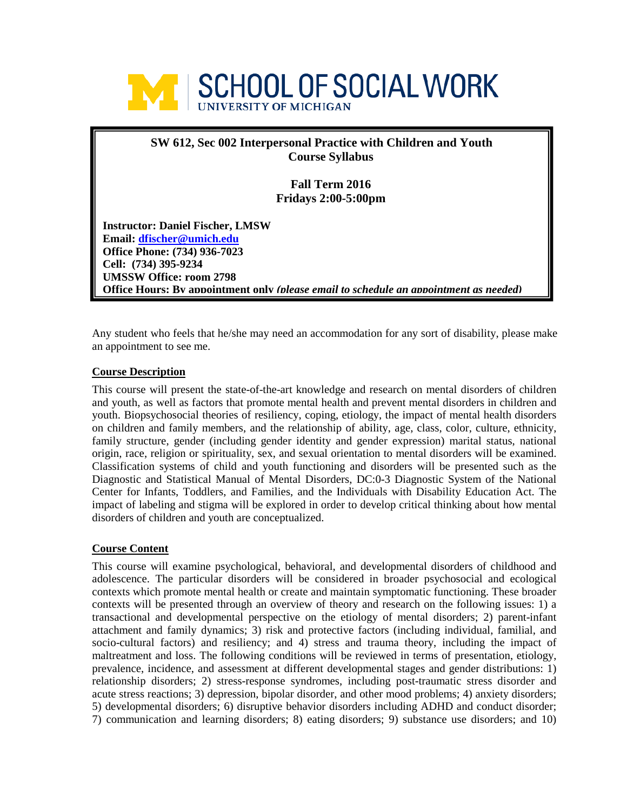

# **SW 612, Sec 002 Interpersonal Practice with Children and Youth Course Syllabus**

**Fall Term 2016 Fridays 2:00-5:00pm**

**Instructor: Daniel Fischer, LMSW Email: [dfischer@umich.edu](mailto:dfischer@umich.edu) Office Phone: (734) 936-7023 Cell: (734) 395-9234 UMSSW Office: room 2798 Office Hours: By appointment only** *(please email to schedule an appointment as needed)*

Any student who feels that he/she may need an accommodation for any sort of disability, please make an appointment to see me.

# **Course Description**

This course will present the state-of-the-art knowledge and research on mental disorders of children and youth, as well as factors that promote mental health and prevent mental disorders in children and youth. Biopsychosocial theories of resiliency, coping, etiology, the impact of mental health disorders on children and family members, and the relationship of ability, age, class, color, culture, ethnicity, family structure, gender (including gender identity and gender expression) marital status, national origin, race, religion or spirituality, sex, and sexual orientation to mental disorders will be examined. Classification systems of child and youth functioning and disorders will be presented such as the Diagnostic and Statistical Manual of Mental Disorders, DC:0-3 Diagnostic System of the National Center for Infants, Toddlers, and Families, and the Individuals with Disability Education Act. The impact of labeling and stigma will be explored in order to develop critical thinking about how mental disorders of children and youth are conceptualized.

# **Course Content**

This course will examine psychological, behavioral, and developmental disorders of childhood and adolescence. The particular disorders will be considered in broader psychosocial and ecological contexts which promote mental health or create and maintain symptomatic functioning. These broader contexts will be presented through an overview of theory and research on the following issues: 1) a transactional and developmental perspective on the etiology of mental disorders; 2) parent-infant attachment and family dynamics; 3) risk and protective factors (including individual, familial, and socio-cultural factors) and resiliency; and 4) stress and trauma theory, including the impact of maltreatment and loss. The following conditions will be reviewed in terms of presentation, etiology, prevalence, incidence, and assessment at different developmental stages and gender distributions: 1) relationship disorders; 2) stress-response syndromes, including post-traumatic stress disorder and acute stress reactions; 3) depression, bipolar disorder, and other mood problems; 4) anxiety disorders; 5) developmental disorders; 6) disruptive behavior disorders including ADHD and conduct disorder; 7) communication and learning disorders; 8) eating disorders; 9) substance use disorders; and 10)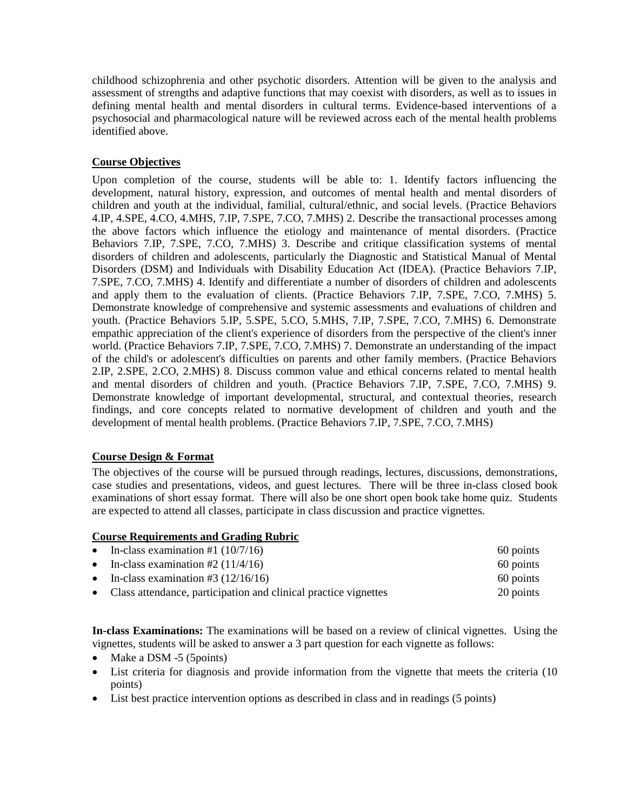childhood schizophrenia and other psychotic disorders. Attention will be given to the analysis and assessment of strengths and adaptive functions that may coexist with disorders, as well as to issues in defining mental health and mental disorders in cultural terms. Evidence-based interventions of a psychosocial and pharmacological nature will be reviewed across each of the mental health problems identified above.

# **Course Objectives**

Upon completion of the course, students will be able to: 1. Identify factors influencing the development, natural history, expression, and outcomes of mental health and mental disorders of children and youth at the individual, familial, cultural/ethnic, and social levels. (Practice Behaviors 4.IP, 4.SPE, 4.CO, 4.MHS, 7.IP, 7.SPE, 7.CO, 7.MHS) 2. Describe the transactional processes among the above factors which influence the etiology and maintenance of mental disorders. (Practice Behaviors 7.IP, 7.SPE, 7.CO, 7.MHS) 3. Describe and critique classification systems of mental disorders of children and adolescents, particularly the Diagnostic and Statistical Manual of Mental Disorders (DSM) and Individuals with Disability Education Act (IDEA). (Practice Behaviors 7.IP, 7.SPE, 7.CO, 7.MHS) 4. Identify and differentiate a number of disorders of children and adolescents and apply them to the evaluation of clients. (Practice Behaviors 7.IP, 7.SPE, 7.CO, 7.MHS) 5. Demonstrate knowledge of comprehensive and systemic assessments and evaluations of children and youth. (Practice Behaviors 5.IP, 5.SPE, 5.CO, 5.MHS, 7.IP, 7.SPE, 7.CO, 7.MHS) 6. Demonstrate empathic appreciation of the client's experience of disorders from the perspective of the client's inner world. (Practice Behaviors 7.IP, 7.SPE, 7.CO, 7.MHS) 7. Demonstrate an understanding of the impact of the child's or adolescent's difficulties on parents and other family members. (Practice Behaviors 2.IP, 2.SPE, 2.CO, 2.MHS) 8. Discuss common value and ethical concerns related to mental health and mental disorders of children and youth. (Practice Behaviors 7.IP, 7.SPE, 7.CO, 7.MHS) 9. Demonstrate knowledge of important developmental, structural, and contextual theories, research findings, and core concepts related to normative development of children and youth and the development of mental health problems. (Practice Behaviors 7.IP, 7.SPE, 7.CO, 7.MHS)

# **Course Design & Format**

The objectives of the course will be pursued through readings, lectures, discussions, demonstrations, case studies and presentations, videos, and guest lectures. There will be three in-class closed book examinations of short essay format. There will also be one short open book take home quiz. Students are expected to attend all classes, participate in class discussion and practice vignettes.

# **Course Requirements and Grading Rubric**

| • In-class examination #1 $(10/7/16)$                             | 60 points |
|-------------------------------------------------------------------|-----------|
| • In-class examination #2 $(11/4/16)$                             | 60 points |
| • In-class examination #3 $(12/16/16)$                            | 60 points |
| • Class attendance, participation and clinical practice vignettes | 20 points |

**In-class Examinations:** The examinations will be based on a review of clinical vignettes. Using the vignettes, students will be asked to answer a 3 part question for each vignette as follows:

- Make a DSM -5 (5 points)
- List criteria for diagnosis and provide information from the vignette that meets the criteria (10 points)
- List best practice intervention options as described in class and in readings (5 points)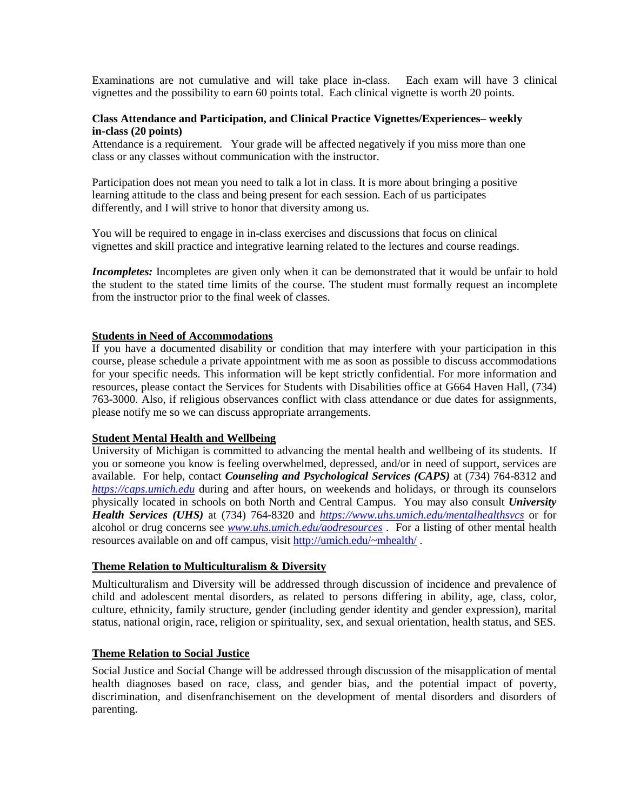Examinations are not cumulative and will take place in-class. Each exam will have 3 clinical vignettes and the possibility to earn 60 points total. Each clinical vignette is worth 20 points.

### **Class Attendance and Participation, and Clinical Practice Vignettes/Experiences– weekly in-class (20 points)**

Attendance is a requirement. Your grade will be affected negatively if you miss more than one class or any classes without communication with the instructor.

Participation does not mean you need to talk a lot in class. It is more about bringing a positive learning attitude to the class and being present for each session. Each of us participates differently, and I will strive to honor that diversity among us.

You will be required to engage in in-class exercises and discussions that focus on clinical vignettes and skill practice and integrative learning related to the lectures and course readings.

*Incompletes:* Incompletes are given only when it can be demonstrated that it would be unfair to hold the student to the stated time limits of the course. The student must formally request an incomplete from the instructor prior to the final week of classes.

#### **Students in Need of Accommodations**

If you have a documented disability or condition that may interfere with your participation in this course, please schedule a private appointment with me as soon as possible to discuss accommodations for your specific needs. This information will be kept strictly confidential. For more information and resources, please contact the Services for Students with Disabilities office at G664 Haven Hall, (734) 763-3000. Also, if religious observances conflict with class attendance or due dates for assignments, please notify me so we can discuss appropriate arrangements.

#### **Student Mental Health and Wellbeing**

University of Michigan is committed to advancing the mental health and wellbeing of its students. If you or someone you know is feeling overwhelmed, depressed, and/or in need of support, services are available. For help, contact *Counseling and Psychological Services (CAPS)* at (734) 764-8312 and *[https://caps.umich.edu](https://caps.umich.edu/)* during and after hours, on weekends and holidays, or through its counselors physically located in schools on both North and Central Campus. You may also consult *University Health Services (UHS)* at (734) 764-8320 and *<https://www.uhs.umich.edu/mentalhealthsvcs>* or for alcohol or drug concerns see *[www.uhs.umich.edu/aodresources](http://www.uhs.umich.edu/aodresources)* . For a listing of other mental health resources available on and off campus, visit [http://umich.edu/~mhealth/](http://umich.edu/%7Emhealth/) .

#### **Theme Relation to Multiculturalism & Diversity**

Multiculturalism and Diversity will be addressed through discussion of incidence and prevalence of child and adolescent mental disorders, as related to persons differing in ability, age, class, color, culture, ethnicity, family structure, gender (including gender identity and gender expression), marital status, national origin, race, religion or spirituality, sex, and sexual orientation, health status, and SES.

# **Theme Relation to Social Justice**

Social Justice and Social Change will be addressed through discussion of the misapplication of mental health diagnoses based on race, class, and gender bias, and the potential impact of poverty, discrimination, and disenfranchisement on the development of mental disorders and disorders of parenting.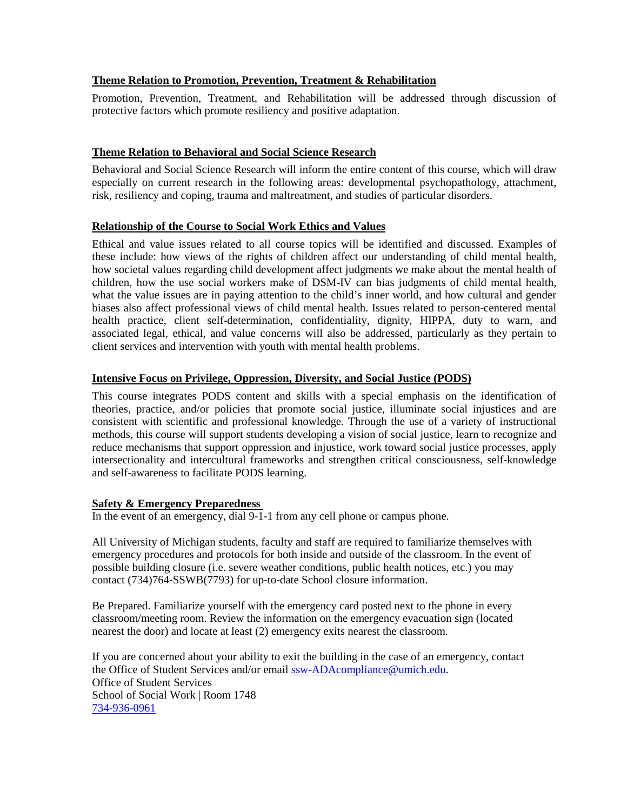# **Theme Relation to Promotion, Prevention, Treatment & Rehabilitation**

Promotion, Prevention, Treatment, and Rehabilitation will be addressed through discussion of protective factors which promote resiliency and positive adaptation.

# **Theme Relation to Behavioral and Social Science Research**

Behavioral and Social Science Research will inform the entire content of this course, which will draw especially on current research in the following areas: developmental psychopathology, attachment, risk, resiliency and coping, trauma and maltreatment, and studies of particular disorders.

# **Relationship of the Course to Social Work Ethics and Values**

Ethical and value issues related to all course topics will be identified and discussed. Examples of these include: how views of the rights of children affect our understanding of child mental health, how societal values regarding child development affect judgments we make about the mental health of children, how the use social workers make of DSM-IV can bias judgments of child mental health, what the value issues are in paying attention to the child's inner world, and how cultural and gender biases also affect professional views of child mental health. Issues related to person-centered mental health practice, client self-determination, confidentiality, dignity, HIPPA, duty to warn, and associated legal, ethical, and value concerns will also be addressed, particularly as they pertain to client services and intervention with youth with mental health problems.

# **Intensive Focus on Privilege, Oppression, Diversity, and Social Justice (PODS)**

This course integrates PODS content and skills with a special emphasis on the identification of theories, practice, and/or policies that promote social justice, illuminate social injustices and are consistent with scientific and professional knowledge. Through the use of a variety of instructional methods, this course will support students developing a vision of social justice, learn to recognize and reduce mechanisms that support oppression and injustice, work toward social justice processes, apply intersectionality and intercultural frameworks and strengthen critical consciousness, self-knowledge and self-awareness to facilitate PODS learning.

# **Safety & Emergency Preparedness**

In the event of an emergency, dial 9-1-1 from any cell phone or campus phone.

All University of Michigan students, faculty and staff are required to familiarize themselves with emergency procedures and protocols for both inside and outside of the classroom. In the event of possible building closure (i.e. severe weather conditions, public health notices, etc.) you may contact (734)764-SSWB(7793) for up-to-date School closure information.

Be Prepared. Familiarize yourself with the emergency card posted next to the phone in every classroom/meeting room. Review the information on the emergency evacuation sign (located nearest the door) and locate at least (2) emergency exits nearest the classroom.

If you are concerned about your ability to exit the building in the case of an emergency, contact the Office of Student Services and/or email [ssw-ADAcompliance@umich.edu.](mailto:ssw-ADAcompliance@umich.edu) Office of Student Services School of Social Work | Room 1748 [734-936-0961](tel:734-936-0961)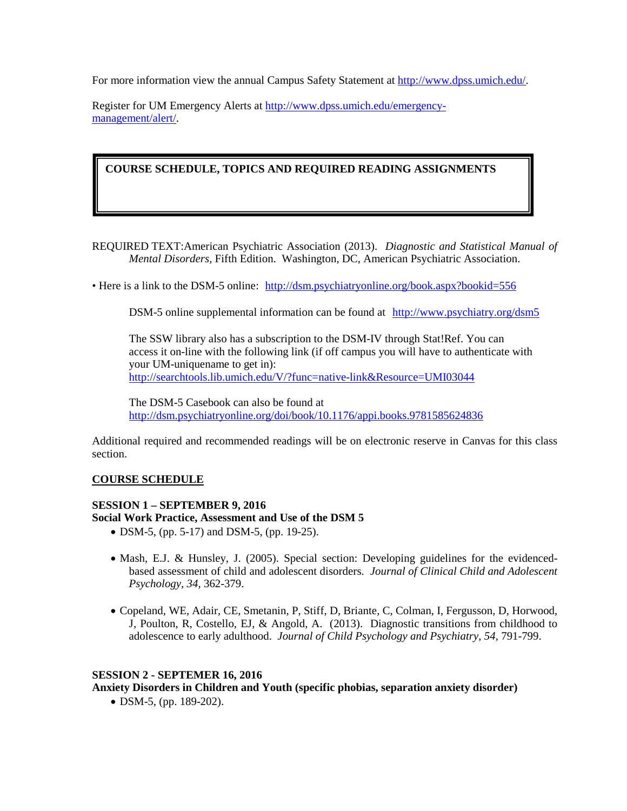For more information view the annual Campus Safety Statement at [http://www.dpss.umich.edu/.](http://www.dpss.umich.edu/)

Register for UM Emergency Alerts at [http://www.dpss.umich.edu/emergency](http://www.dpss.umich.edu/emergency-management/alert/)[management/alert/.](http://www.dpss.umich.edu/emergency-management/alert/)

**COURSE SCHEDULE, TOPICS AND REQUIRED READING ASSIGNMENTS** 

REQUIRED TEXT:American Psychiatric Association (2013). *Diagnostic and Statistical Manual of Mental Disorders,* Fifth Edition. Washington, DC, American Psychiatric Association.

• Here is a link to the DSM-5 online: <http://dsm.psychiatryonline.org/book.aspx?bookid=556>

DSM-5 online supplemental information can be found at <http://www.psychiatry.org/dsm5>

The SSW library also has a subscription to the DSM-IV through Stat!Ref. You can access it on-line with the following link (if off campus you will have to authenticate with your UM-uniquename to get in): <http://searchtools.lib.umich.edu/V/?func=native-link&Resource=UMI03044>

The DSM-5 Casebook can also be found at <http://dsm.psychiatryonline.org/doi/book/10.1176/appi.books.9781585624836>

Additional required and recommended readings will be on electronic reserve in Canvas for this class section.

# **COURSE SCHEDULE**

# **SESSION 1 – SEPTEMBER 9, 2016 Social Work Practice, Assessment and Use of the DSM 5**

- DSM-5, (pp. 5-17) and DSM-5, (pp. 19-25).
- Mash, E.J. & Hunsley, J. (2005). Special section: Developing guidelines for the evidencedbased assessment of child and adolescent disorders. *Journal of Clinical Child and Adolescent Psychology, 34*, 362-379.
- Copeland, WE, Adair, CE, Smetanin, P, Stiff, D, Briante, C, Colman, I, Fergusson, D, Horwood, J, Poulton, R, Costello, EJ, & Angold, A. (2013). Diagnostic transitions from childhood to adolescence to early adulthood. *Journal of Child Psychology and Psychiatry, 54,* 791-799.

# **SESSION 2 - SEPTEMER 16, 2016**

**Anxiety Disorders in Children and Youth (specific phobias, separation anxiety disorder)**

• DSM-5, (pp. 189-202).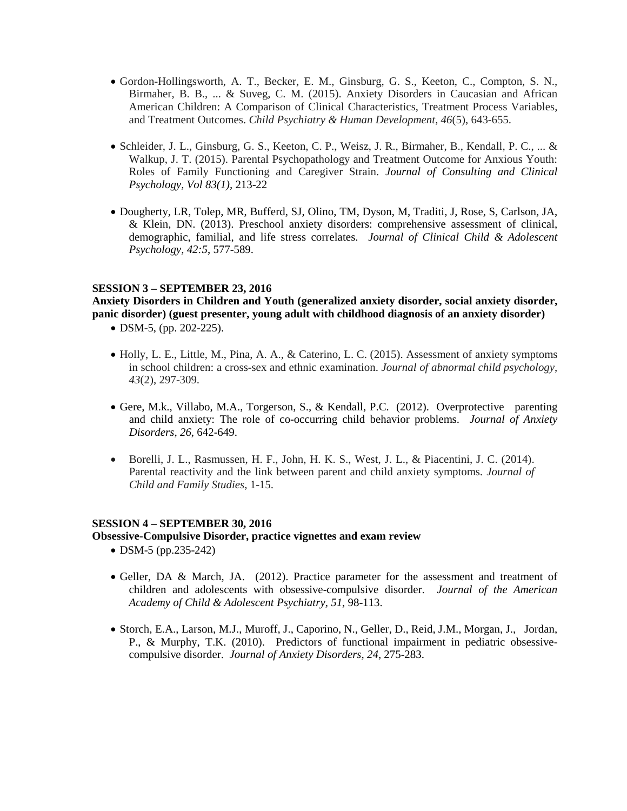- Gordon-Hollingsworth, A. T., Becker, E. M., Ginsburg, G. S., Keeton, C., Compton, S. N., Birmaher, B. B., ... & Suveg, C. M. (2015). Anxiety Disorders in Caucasian and African American Children: A Comparison of Clinical Characteristics, Treatment Process Variables, and Treatment Outcomes. *Child Psychiatry & Human Development*, *46*(5), 643-655.
- Schleider, J. L., Ginsburg, G. S., Keeton, C. P., Weisz, J. R., Birmaher, B., Kendall, P. C., ... & Walkup, J. T. (2015). Parental Psychopathology and Treatment Outcome for Anxious Youth: Roles of Family Functioning and Caregiver Strain. *Journal of Consulting and Clinical Psychology, Vol 83(1),* 213-22
- Dougherty, LR, Tolep, MR, Bufferd, SJ, Olino, TM, Dyson, M, Traditi, J, Rose, S, Carlson, JA, & Klein, DN. (2013). Preschool anxiety disorders: comprehensive assessment of clinical, demographic, familial, and life stress correlates. *Journal of Clinical Child & Adolescent Psychology, 42:5*, 577-589.

#### **SESSION 3 – SEPTEMBER 23, 2016**

**Anxiety Disorders in Children and Youth (generalized anxiety disorder, social anxiety disorder, panic disorder) (guest presenter, young adult with childhood diagnosis of an anxiety disorder)**

- DSM-5, (pp. 202-225).
- Holly, L. E., Little, M., Pina, A. A., & Caterino, L. C. (2015). Assessment of anxiety symptoms in school children: a cross-sex and ethnic examination. *Journal of abnormal child psychology*, *43*(2), 297-309.
- Gere, M.k., Villabo, M.A., Torgerson, S., & Kendall, P.C. (2012). Overprotective parenting and child anxiety: The role of co-occurring child behavior problems. *Journal of Anxiety Disorders, 26*, 642-649.
- Borelli, J. L., Rasmussen, H. F., John, H. K. S., West, J. L., & Piacentini, J. C. (2014). Parental reactivity and the link between parent and child anxiety symptoms. *Journal of Child and Family Studies*, 1-15.

#### **SESSION 4 – SEPTEMBER 30, 2016**

#### **Obsessive-Compulsive Disorder, practice vignettes and exam review**

- DSM-5 (pp.235-242)
- Geller, DA & March, JA. (2012). Practice parameter for the assessment and treatment of children and adolescents with obsessive-compulsive disorder. *Journal of the American Academy of Child & Adolescent Psychiatry, 51*, 98-113.
- Storch, E.A., Larson, M.J., Muroff, J., Caporino, N., Geller, D., Reid, J.M., Morgan, J., Jordan, P., & Murphy, T.K. (2010). Predictors of functional impairment in pediatric obsessivecompulsive disorder. *Journal of Anxiety Disorders, 24*, 275-283.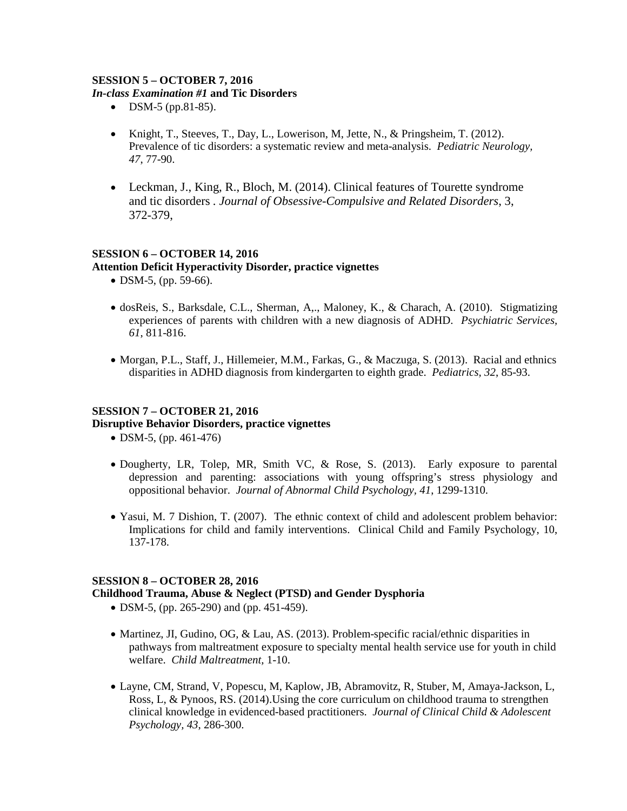# **SESSION 5 – OCTOBER 7, 2016**

#### *In-class Examination #1* **and Tic Disorders**

- DSM-5 (pp.81-85).
- Knight, T., Steeves, T., Day, L., Lowerison, M. Jette, N., & Pringsheim, T. (2012). Prevalence of tic disorders: a systematic review and meta-analysis. *Pediatric Neurology, 47*, 77-90.
- Leckman, J., King, R., Bloch, M. (2014). Clinical features of Tourette syndrome and tic disorders *. Journal of Obsessive-Compulsive and Related Disorders*, 3, 372-379,

# **SESSION 6 – OCTOBER 14, 2016**

# **Attention Deficit Hyperactivity Disorder, practice vignettes**

- DSM-5, (pp. 59-66).
- dosReis, S., Barksdale, C.L., Sherman, A,., Maloney, K., & Charach, A. (2010). Stigmatizing experiences of parents with children with a new diagnosis of ADHD. *Psychiatric Services, 61*, 811-816.
- Morgan, P.L., Staff, J., Hillemeier, M.M., Farkas, G., & Maczuga, S. (2013). Racial and ethnics disparities in ADHD diagnosis from kindergarten to eighth grade. *Pediatrics, 32*, 85-93.

# **SESSION 7 – OCTOBER 21, 2016**

# **Disruptive Behavior Disorders, practice vignettes**

- DSM-5, (pp. 461-476)
- Dougherty, LR, Tolep, MR, Smith VC, & Rose, S. (2013). Early exposure to parental depression and parenting: associations with young offspring's stress physiology and oppositional behavior. *Journal of Abnormal Child Psychology, 41*, 1299-1310.
- Yasui, M. 7 Dishion, T. (2007). The ethnic context of child and adolescent problem behavior: Implications for child and family interventions. Clinical Child and Family Psychology, 10, 137-178.

# **SESSION 8 – OCTOBER 28, 2016**

# **Childhood Trauma, Abuse & Neglect (PTSD) and Gender Dysphoria**

- DSM-5, (pp. 265-290) and (pp. 451-459).
- Martinez, JI, Gudino, OG, & Lau, AS. (2013). Problem-specific racial/ethnic disparities in pathways from maltreatment exposure to specialty mental health service use for youth in child welfare. *Child Maltreatment,* 1-10.
- Layne, CM, Strand, V, Popescu, M, Kaplow, JB, Abramovitz, R, Stuber, M, Amaya-Jackson, L, Ross, L, & Pynoos, RS. (2014).Using the core curriculum on childhood trauma to strengthen clinical knowledge in evidenced-based practitioners. *Journal of Clinical Child & Adolescent Psychology, 43*, 286-300.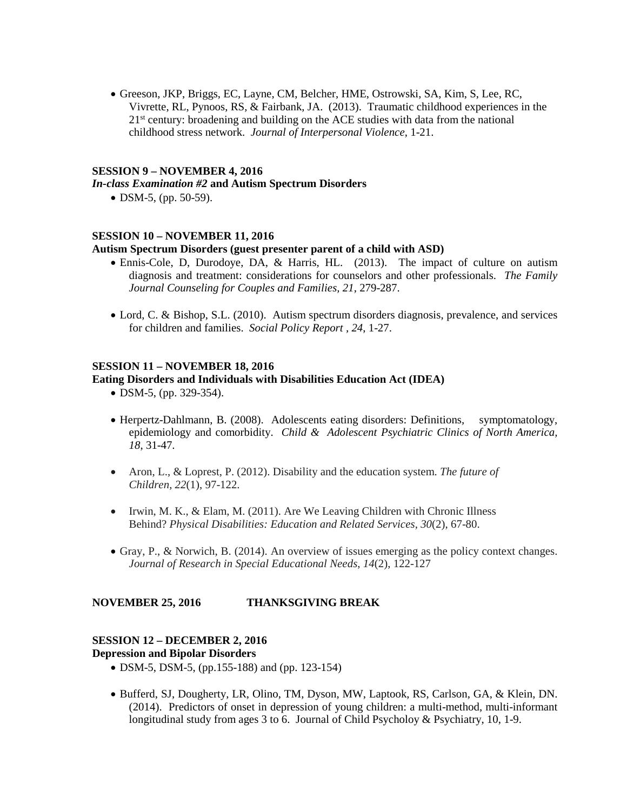• Greeson, JKP, Briggs, EC, Layne, CM, Belcher, HME, Ostrowski, SA, Kim, S, Lee, RC, Vivrette, RL, Pynoos, RS, & Fairbank, JA. (2013). Traumatic childhood experiences in the 21st century: broadening and building on the ACE studies with data from the national childhood stress network. *Journal of Interpersonal Violence*, 1-21.

#### **SESSION 9 – NOVEMBER 4, 2016**

#### *In-class Examination #2* **and Autism Spectrum Disorders**

• DSM-5, (pp. 50-59).

#### **SESSION 10 – NOVEMBER 11, 2016**

#### **Autism Spectrum Disorders (guest presenter parent of a child with ASD)**

- Ennis-Cole, D, Durodoye, DA, & Harris, HL. (2013). The impact of culture on autism diagnosis and treatment: considerations for counselors and other professionals. *The Family Journal Counseling for Couples and Families, 21*, 279-287.
- Lord, C. & Bishop, S.L. (2010). Autism spectrum disorders diagnosis, prevalence, and services for children and families. *Social Policy Report , 24*, 1-27.

#### **SESSION 11 – NOVEMBER 18, 2016**

#### **Eating Disorders and Individuals with Disabilities Education Act (IDEA)**

- DSM-5, (pp. 329-354).
- Herpertz-Dahlmann, B. (2008). Adolescents eating disorders: Definitions, symptomatology, epidemiology and comorbidity. *Child & Adolescent Psychiatric Clinics of North America, 18*, 31-47.
- Aron, L., & Loprest, P. (2012). Disability and the education system. *The future of Children*, *22*(1), 97-122.
- Irwin, M. K., & Elam, M. (2011). Are We Leaving Children with Chronic Illness Behind? *Physical Disabilities: Education and Related Services*, *30*(2), 67-80.
- Gray, P., & Norwich, B. (2014). An overview of issues emerging as the policy context changes. *Journal of Research in Special Educational Needs*, *14*(2), 122-127

# **NOVEMBER 25, 2016 THANKSGIVING BREAK**

# **SESSION 12 – DECEMBER 2, 2016**

**Depression and Bipolar Disorders**

- DSM-5, DSM-5, (pp.155-188) and (pp. 123-154)
- Bufferd, SJ, Dougherty, LR, Olino, TM, Dyson, MW, Laptook, RS, Carlson, GA, & Klein, DN. (2014). Predictors of onset in depression of young children: a multi-method, multi-informant longitudinal study from ages 3 to 6. Journal of Child Psycholoy & Psychiatry, 10, 1-9.